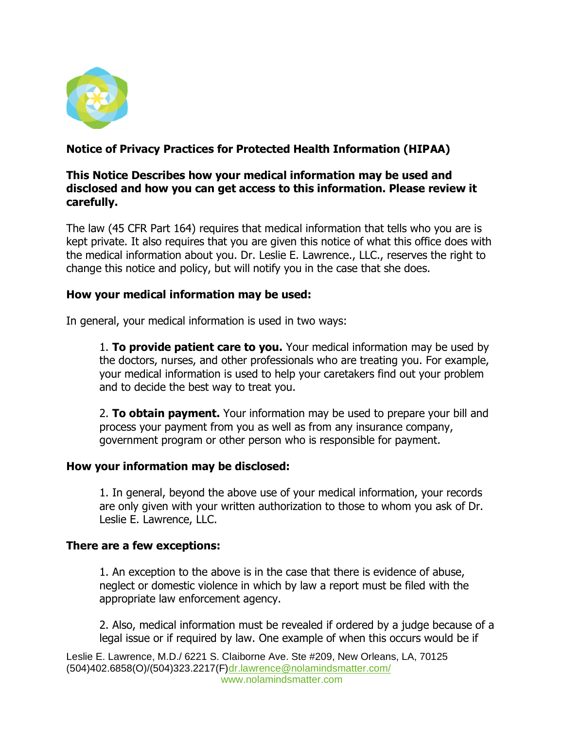

## **Notice of Privacy Practices for Protected Health Information (HIPAA)**

### **This Notice Describes how your medical information may be used and disclosed and how you can get access to this information. Please review it carefully.**

The law (45 CFR Part 164) requires that medical information that tells who you are is kept private. It also requires that you are given this notice of what this office does with the medical information about you. Dr. Leslie E. Lawrence., LLC., reserves the right to change this notice and policy, but will notify you in the case that she does.

### **How your medical information may be used:**

In general, your medical information is used in two ways:

1. **To provide patient care to you.** Your medical information may be used by the doctors, nurses, and other professionals who are treating you. For example, your medical information is used to help your caretakers find out your problem and to decide the best way to treat you.

2. **To obtain payment.** Your information may be used to prepare your bill and process your payment from you as well as from any insurance company, government program or other person who is responsible for payment.

### **How your information may be disclosed:**

1. In general, beyond the above use of your medical information, your records are only given with your written authorization to those to whom you ask of Dr. Leslie E. Lawrence, LLC.

### **There are a few exceptions:**

1. An exception to the above is in the case that there is evidence of abuse, neglect or domestic violence in which by law a report must be filed with the appropriate law enforcement agency.

2. Also, medical information must be revealed if ordered by a judge because of a legal issue or if required by law. One example of when this occurs would be if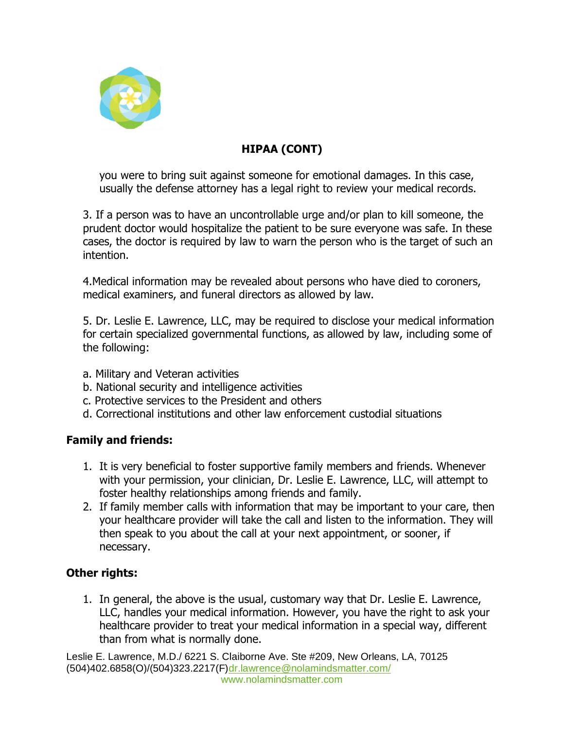

## **HIPAA (CONT)**

you were to bring suit against someone for emotional damages. In this case, usually the defense attorney has a legal right to review your medical records.

3. If a person was to have an uncontrollable urge and/or plan to kill someone, the prudent doctor would hospitalize the patient to be sure everyone was safe. In these cases, the doctor is required by law to warn the person who is the target of such an intention.

4.Medical information may be revealed about persons who have died to coroners, medical examiners, and funeral directors as allowed by law.

5. Dr. Leslie E. Lawrence, LLC, may be required to disclose your medical information for certain specialized governmental functions, as allowed by law, including some of the following:

- a. Military and Veteran activities
- b. National security and intelligence activities
- c. Protective services to the President and others
- d. Correctional institutions and other law enforcement custodial situations

## **Family and friends:**

- 1. It is very beneficial to foster supportive family members and friends. Whenever with your permission, your clinician, Dr. Leslie E. Lawrence, LLC, will attempt to foster healthy relationships among friends and family.
- 2. If family member calls with information that may be important to your care, then your healthcare provider will take the call and listen to the information. They will then speak to you about the call at your next appointment, or sooner, if necessary.

## **Other rights:**

1. In general, the above is the usual, customary way that Dr. Leslie E. Lawrence, LLC, handles your medical information. However, you have the right to ask your healthcare provider to treat your medical information in a special way, different than from what is normally done.